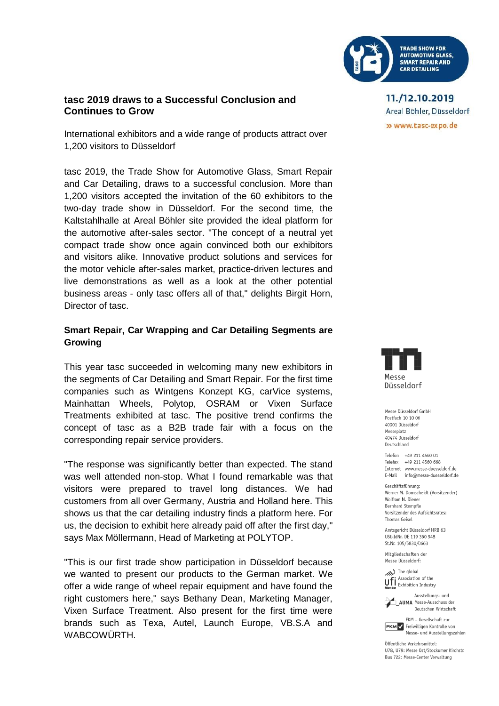

## **tasc 2019 draws to a Successful Conclusion and Continues to Grow**

International exhibitors and a wide range of products attract over 1,200 visitors to Düsseldorf

tasc 2019, the Trade Show for Automotive Glass, Smart Repair and Car Detailing, draws to a successful conclusion. More than 1,200 visitors accepted the invitation of the 60 exhibitors to the two-day trade show in Düsseldorf. For the second time, the Kaltstahlhalle at Areal Böhler site provided the ideal platform for the automotive after-sales sector. "The concept of a neutral yet compact trade show once again convinced both our exhibitors and visitors alike. Innovative product solutions and services for the motor vehicle after-sales market, practice-driven lectures and live demonstrations as well as a look at the other potential business areas - only tasc offers all of that," delights Birgit Horn, Director of tasc.

## **Smart Repair, Car Wrapping and Car Detailing Segments are Growing**

This year tasc succeeded in welcoming many new exhibitors in the segments of Car Detailing and Smart Repair. For the first time companies such as Wintgens Konzept KG, carVice systems, Mainhattan Wheels, Polytop, OSRAM or Vixen Surface Treatments exhibited at tasc. The positive trend confirms the concept of tasc as a B2B trade fair with a focus on the corresponding repair service providers.

"The response was significantly better than expected. The stand was well attended non-stop. What I found remarkable was that visitors were prepared to travel long distances. We had customers from all over Germany, Austria and Holland here. This shows us that the car detailing industry finds a platform here. For us, the decision to exhibit here already paid off after the first day," says Max Möllermann, Head of Marketing at POLYTOP.

"This is our first trade show participation in Düsseldorf because we wanted to present our products to the German market. We offer a wide range of wheel repair equipment and have found the right customers here," says Bethany Dean, Marketing Manager, Vixen Surface Treatment. Also present for the first time were brands such as Texa, Autel, Launch Europe, VB.S.A and WABCOWÜRTH.

11./12.10.2019 Areal Böhler, Düsseldorf » www.tasc-expo.de



Messe Diisseldorf GmbH Postfach 10 10 06 40001 Düsseldorf Messeplatz 40474 Düsseldorf Deutschland

Telefon +49 211 4560 01 Telefax +49 211 4560 668 Internet www.messe-duesseldorf.de E-Mail info@messe-duesseldorf.de

Geschäftsführung: Werner M. Dornscheidt (Vorsitzender) Wolfram N. Diener Bernhard Stempfle Vorsitzender des Aufsichtsrates: Thomas Geisel

Amtsgericht Düsseldorf HRB 63 USt-IdNr. DE 119 360 948 St.Nr. 105/5830/0663

Mitaliedschaften der Messe Düsseldorf:

The global **UFI** Association of the



Ausstellungs- und AUMA Messe-Ausschuss der Deutschen Wirtschaft



Messe- und Ausstellungszahlen

Öffentliche Verkehrsmittel: U78. U79: Messe Ost/Stockumer Kirchstr. Bus 722: Messe-Center Verwaltung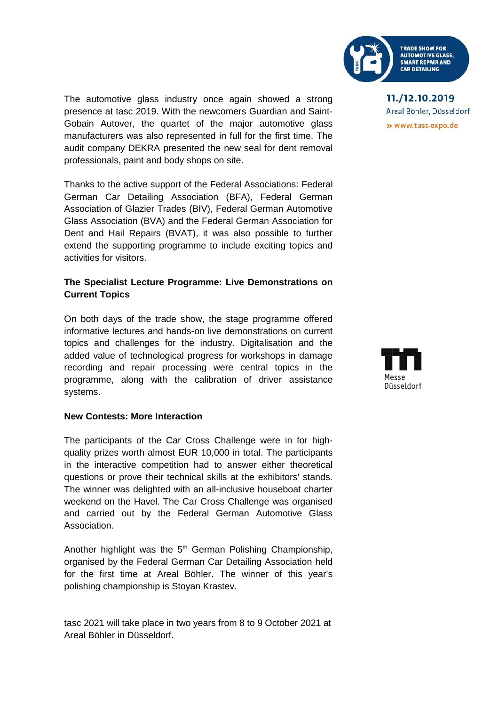

The automotive glass industry once again showed a strong presence at tasc 2019. With the newcomers Guardian and Saint-Gobain Autover, the quartet of the major automotive glass manufacturers was also represented in full for the first time. The audit company DEKRA presented the new seal for dent removal professionals, paint and body shops on site.

Thanks to the active support of the Federal Associations: Federal German Car Detailing Association (BFA), Federal German Association of Glazier Trades (BIV), Federal German Automotive Glass Association (BVA) and the Federal German Association for Dent and Hail Repairs (BVAT), it was also possible to further extend the supporting programme to include exciting topics and activities for visitors.

# **The Specialist Lecture Programme: Live Demonstrations on Current Topics**

On both days of the trade show, the stage programme offered informative lectures and hands-on live demonstrations on current topics and challenges for the industry. Digitalisation and the added value of technological progress for workshops in damage recording and repair processing were central topics in the programme, along with the calibration of driver assistance systems.

## **New Contests: More Interaction**

The participants of the Car Cross Challenge were in for highquality prizes worth almost EUR 10,000 in total. The participants in the interactive competition had to answer either theoretical questions or prove their technical skills at the exhibitors' stands. The winner was delighted with an all-inclusive houseboat charter weekend on the Havel. The Car Cross Challenge was organised and carried out by the Federal German Automotive Glass **Association** 

Another highlight was the  $5<sup>th</sup>$  German Polishing Championship, organised by the Federal German Car Detailing Association held for the first time at Areal Böhler. The winner of this year's polishing championship is Stoyan Krastev.

tasc 2021 will take place in two years from 8 to 9 October 2021 at Areal Böhler in Düsseldorf.

11./12.10.2019 Areal Böhler, Düsseldorf » www.tasc-expo.de